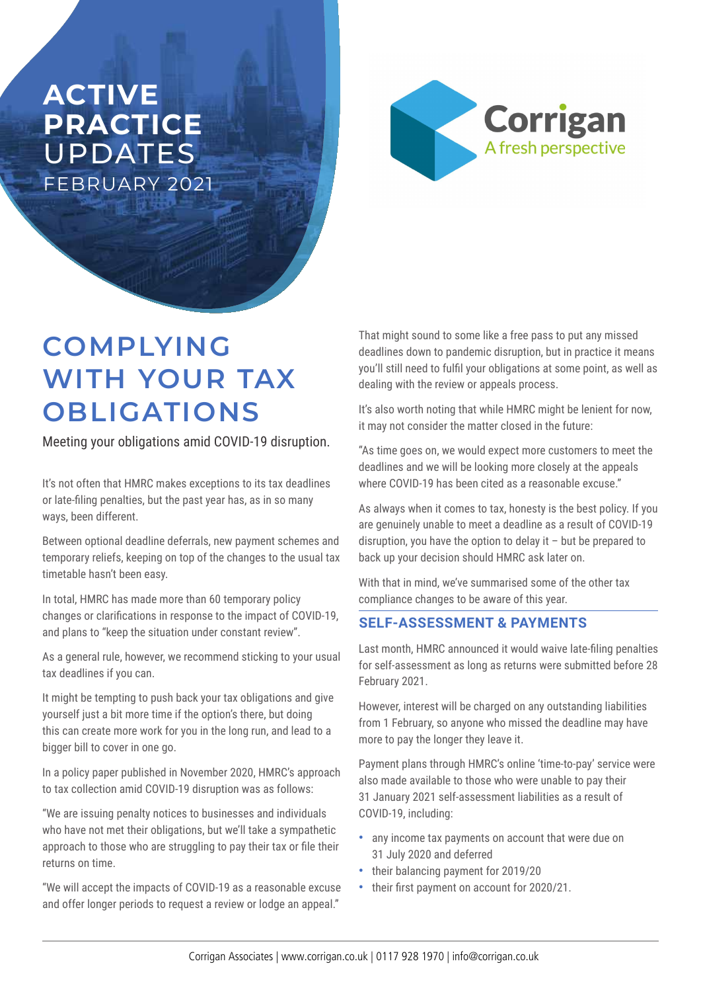## **ACTIVE PRACTICE**  UPDATES FEBRUARY 2021



# **COMPLYING WITH YOUR TAX OBLIGATIONS**

Meeting your obligations amid COVID-19 disruption.

It's not often that HMRC makes exceptions to its tax deadlines or late-filing penalties, but the past year has, as in so many ways, been different.

Between optional deadline deferrals, new payment schemes and temporary reliefs, keeping on top of the changes to the usual tax timetable hasn't been easy.

In total, HMRC has made more than 60 temporary policy changes or clarifications in response to the impact of COVID-19, and plans to "keep the situation under constant review".

As a general rule, however, we recommend sticking to your usual tax deadlines if you can.

It might be tempting to push back your tax obligations and give yourself just a bit more time if the option's there, but doing this can create more work for you in the long run, and lead to a bigger bill to cover in one go.

In a policy paper published in November 2020, HMRC's approach to tax collection amid COVID-19 disruption was as follows:

"We are issuing penalty notices to businesses and individuals who have not met their obligations, but we'll take a sympathetic approach to those who are struggling to pay their tax or file their returns on time.

"We will accept the impacts of COVID-19 as a reasonable excuse and offer longer periods to request a review or lodge an appeal."

That might sound to some like a free pass to put any missed deadlines down to pandemic disruption, but in practice it means you'll still need to fulfil your obligations at some point, as well as dealing with the review or appeals process.

It's also worth noting that while HMRC might be lenient for now, it may not consider the matter closed in the future:

"As time goes on, we would expect more customers to meet the deadlines and we will be looking more closely at the appeals where COVID-19 has been cited as a reasonable excuse."

As always when it comes to tax, honesty is the best policy. If you are genuinely unable to meet a deadline as a result of COVID-19 disruption, you have the option to delay it – but be prepared to back up your decision should HMRC ask later on.

With that in mind, we've summarised some of the other tax compliance changes to be aware of this year.

#### **SELF-ASSESSMENT & PAYMENTS**

Last month, HMRC announced it would waive late-filing penalties for self-assessment as long as returns were submitted before 28 February 2021.

However, interest will be charged on any outstanding liabilities from 1 February, so anyone who missed the deadline may have more to pay the longer they leave it.

Payment plans through HMRC's online 'time-to-pay' service were also made available to those who were unable to pay their 31 January 2021 self-assessment liabilities as a result of COVID-19, including:

- **•** any income tax payments on account that were due on 31 July 2020 and deferred
- **•** their balancing payment for 2019/20
- **•** their first payment on account for 2020/21.